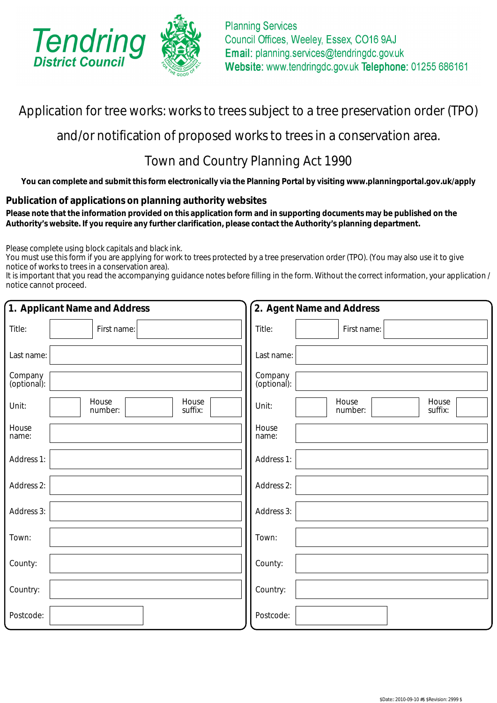

# Application for tree works: works to trees subject to a tree preservation order (TPO)

## and/or notification of proposed works to trees in a conservation area.

# Town and Country Planning Act 1990

**You can complete and submit this form electronically via the Planning Portal by visiting www.planningportal.gov.uk/apply**

## **Publication of applications on planning authority websites**

 **Please note that the information provided on this application form and in supporting documents may be published on the Authority's website. If you require any further clarification, please contact the Authority's planning department.**

Please complete using block capitals and black ink.

You must use this form if you are applying for work to trees protected by a tree preservation order (TPO). (You may also use it to give notice of works to trees in a conservation area).

It is important that you read the accompanying guidance notes before filling in the form. Without the correct information, your application / notice cannot proceed.

| 1. Applicant Name and Address                 | 2. Agent Name and Address                     |  |
|-----------------------------------------------|-----------------------------------------------|--|
| Title:<br>First name:                         | Title:<br>First name:                         |  |
| Last name:                                    | Last name:                                    |  |
| Company<br>(optional):                        | Company<br>(optional):                        |  |
| House<br>House<br>Unit:<br>suffix:<br>number: | House<br>House<br>Unit:<br>suffix:<br>number: |  |
| House<br>name:                                | House<br>name:                                |  |
| Address 1:                                    | Address 1:                                    |  |
| Address 2:                                    | Address 2:                                    |  |
| Address 3:                                    | Address 3:                                    |  |
| Town:                                         | Town:                                         |  |
| County:                                       | County:                                       |  |
| Country:                                      | Country:                                      |  |
| Postcode:                                     | Postcode:                                     |  |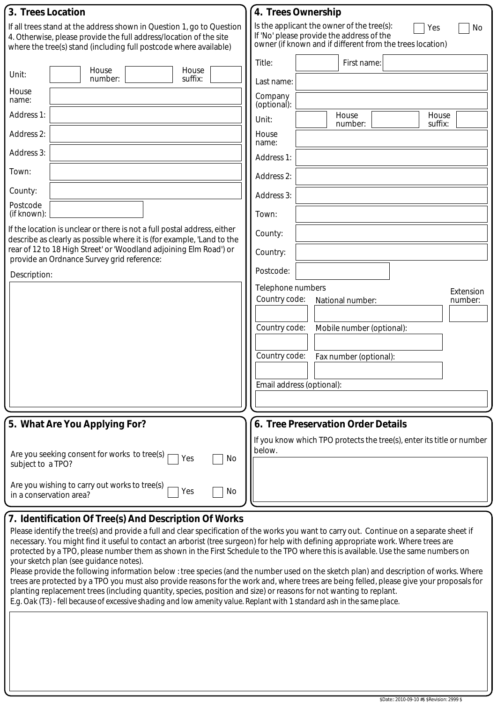| 3. Trees Location                                                                                                                                                                                                                                                                                                                                                                                                                                  | 4. Trees Ownership                                                                                                                                                                                                                                                                                                                                                                                                              |
|----------------------------------------------------------------------------------------------------------------------------------------------------------------------------------------------------------------------------------------------------------------------------------------------------------------------------------------------------------------------------------------------------------------------------------------------------|---------------------------------------------------------------------------------------------------------------------------------------------------------------------------------------------------------------------------------------------------------------------------------------------------------------------------------------------------------------------------------------------------------------------------------|
| If all trees stand at the address shown in Question 1, go to Question<br>4. Otherwise, please provide the full address/location of the site<br>where the tree(s) stand (including full postcode where available)                                                                                                                                                                                                                                   | Is the applicant the owner of the tree(s):<br>Yes<br>No<br>If 'No' please provide the address of the<br>owner (if known and if different from the trees location)                                                                                                                                                                                                                                                               |
| House<br>House<br>Unit:<br>suffix:<br>number:<br>House<br>name:<br>Address 1:<br>Address 2:<br>Address 3:<br>Town:<br>County:<br>Postcode<br>(if known):<br>If the location is unclear or there is not a full postal address, either<br>describe as clearly as possible where it is (for example, 'Land to the<br>rear of 12 to 18 High Street' or 'Woodland adjoining Elm Road') or<br>provide an Ordnance Survey grid reference:<br>Description: | Title:<br>First name:<br>Last name:<br>Company<br>(optional).<br>House<br>House<br>Unit:<br>number:<br>suffix:<br>House<br>name:<br>Address 1:<br>Address 2:<br>Address 3:<br>Town:<br>County:<br>Country:<br>Postcode:<br>Telephone numbers<br>Extension<br>Country code:<br>number:<br>National number:<br>Country code:<br>Mobile number (optional):<br>Country code:<br>Fax number (optional):<br>Email address (optional): |
| 5. What Are You Applying For?                                                                                                                                                                                                                                                                                                                                                                                                                      | 6. Tree Preservation Order Details                                                                                                                                                                                                                                                                                                                                                                                              |
| Are you seeking consent for works to tree(s)<br>No<br>Yes<br>subject to a TPO?                                                                                                                                                                                                                                                                                                                                                                     | If you know which TPO protects the tree(s), enter its title or number<br>below.                                                                                                                                                                                                                                                                                                                                                 |
| Are you wishing to carry out works to tree(s)<br>No<br>Yes<br>in a conservation area?                                                                                                                                                                                                                                                                                                                                                              |                                                                                                                                                                                                                                                                                                                                                                                                                                 |

## **7. Identification Of Tree(s) And Description Of Works**

Please identify the tree(s) and provide a full and clear specification of the works you want to carry out. Continue on a separate sheet if necessary. You might find it useful to contact an arborist (tree surgeon) for help with defining appropriate work. Where trees are protected by a TPO, please number them as shown in the First Schedule to the TPO where this is available. Use the same numbers on your sketch plan (see guidance notes).

Please provide the following information below : tree species (and the number used on the sketch plan) and description of works. Where trees are protected by a TPO you must also provide reasons for the work and, where trees are being felled, please give your proposals for planting replacement trees (including quantity, species, position and size) or reasons for not wanting to replant. *E.g. Oak (T3) - fell because of excessive shading and low amenity value. Replant with 1 standard ash in the same place.*

\$Date:: 2010-09-10 #\$ \$Revision: 2999 \$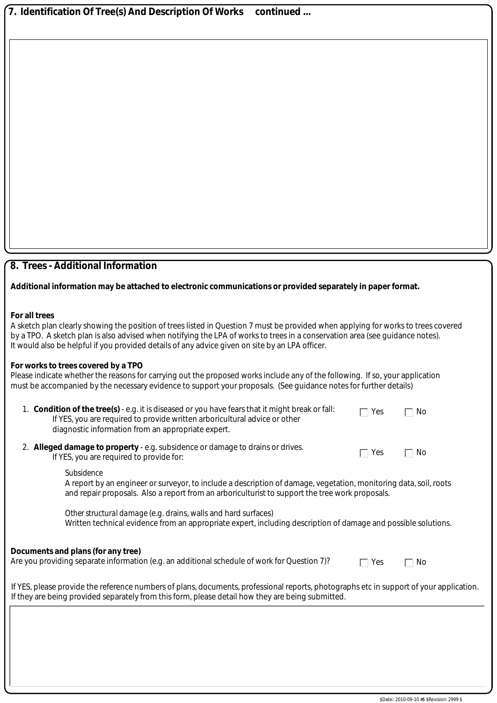**7. Identification Of Tree(s) And Description Of Works continued ...**

### **8. Trees - Additional Information**

#### **Additional information may be attached to electronic communications or provided separately in paper format.**

#### **For all trees**

| A sketch plan clearly showing the position of trees listed in Question 7 must be provided when applying for works to trees covered |
|------------------------------------------------------------------------------------------------------------------------------------|
| by a TPO. A sketch plan is also advised when notifying the LPA of works to trees in a conservation area (see guidance notes).      |
| It would also be helpful if you provided details of any advice given on site by an LPA officer.                                    |

#### **For works to trees covered by a TPO**

Please indicate whether the reasons for carrying out the proposed works include any of the following. If so, your application must be accompanied by the necessary evidence to support your proposals. (See guidance notes for further details)

| 1. Condition of the tree(s) - e.g. it is diseased or you have fears that it might break or fall: | $\Box$ Yes | $\overline{\phantom{a}}$ No |
|--------------------------------------------------------------------------------------------------|------------|-----------------------------|
| If YES, you are required to provide written arboricultural advice or other                       |            |                             |
| diagnostic information from an appropriate expert.                                               |            |                             |
|                                                                                                  |            |                             |

2. **Alleged damage to property** - e.g. subsidence or damage to drains or drives. If YES, you are required to provide for:

*Subsidence*

A report by an engineer or surveyor, to include a description of damage, vegetation, monitoring data, soil, roots and repair proposals. Also a report from an arboriculturist to support the tree work proposals.

*Other structural damage* (e.g. drains, walls and hard surfaces) Written technical evidence from an appropriate expert, including description of damage and possible solutions.

#### **Documents and plans (for any tree)**

Are you providing separate information (e.g. an additional schedule of work for Question 7)?

 $\Box$  Yes  $\Box$  No

 $\Box$  Yes  $\Box$  No

If YES, please provide the reference numbers of plans, documents, professional reports, photographs etc in support of your application. If they are being provided separately from this form, please detail how they are being submitted.